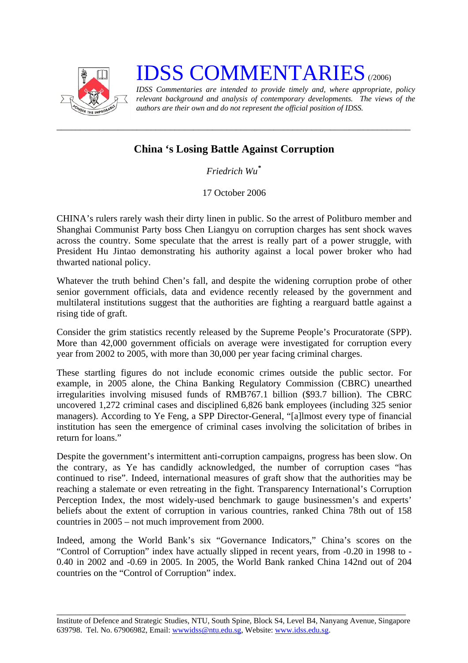

## **IDSS COMMENTARIES**

*IDSS Commentaries are intended to provide timely and, where appropriate, policy relevant background and analysis of contemporary developments. The views of the authors are their own and do not represent the official position of IDSS.* 

## **China 's Losing Battle Against Corruption**

*\_\_\_\_\_\_\_\_\_\_\_\_\_\_\_\_\_\_\_\_\_\_\_\_\_\_\_\_\_\_\_\_\_\_\_\_\_\_\_\_\_\_\_\_\_\_\_\_\_\_\_\_\_\_\_\_\_\_\_\_\_\_\_\_\_\_\_\_\_\_\_\_\_\_\_* 

*Friedrich Wu***[\\*](#page-1-0)**

17 October 2006

CHINA's rulers rarely wash their dirty linen in public. So the arrest of Politburo member and Shanghai Communist Party boss Chen Liangyu on corruption charges has sent shock waves across the country. Some speculate that the arrest is really part of a power struggle, with President Hu Jintao demonstrating his authority against a local power broker who had thwarted national policy.

Whatever the truth behind Chen's fall, and despite the widening corruption probe of other senior government officials, data and evidence recently released by the government and multilateral institutions suggest that the authorities are fighting a rearguard battle against a rising tide of graft.

Consider the grim statistics recently released by the Supreme People's Procuratorate (SPP). More than 42,000 government officials on average were investigated for corruption every year from 2002 to 2005, with more than 30,000 per year facing criminal charges.

These startling figures do not include economic crimes outside the public sector. For example, in 2005 alone, the China Banking Regulatory Commission (CBRC) unearthed irregularities involving misused funds of RMB767.1 billion (\$93.7 billion). The CBRC uncovered 1,272 criminal cases and disciplined 6,826 bank employees (including 325 senior managers). According to Ye Feng, a SPP Director-General, "[a]lmost every type of financial institution has seen the emergence of criminal cases involving the solicitation of bribes in return for loans."

Despite the government's intermittent anti-corruption campaigns, progress has been slow. On the contrary, as Ye has candidly acknowledged, the number of corruption cases "has continued to rise". Indeed, international measures of graft show that the authorities may be reaching a stalemate or even retreating in the fight. Transparency International's Corruption Perception Index, the most widely-used benchmark to gauge businessmen's and experts' beliefs about the extent of corruption in various countries, ranked China 78th out of 158 countries in 2005 – not much improvement from 2000.

Indeed, among the World Bank's six "Governance Indicators," China's scores on the "Control of Corruption" index have actually slipped in recent years, from -0.20 in 1998 to - 0.40 in 2002 and -0.69 in 2005. In 2005, the World Bank ranked China 142nd out of 204 countries on the "Control of Corruption" index.

\_\_\_\_\_\_\_\_\_\_\_\_\_\_\_\_\_\_\_\_\_\_\_\_\_\_\_\_\_\_\_\_\_\_\_\_\_\_\_\_\_\_\_\_\_\_\_\_\_\_\_\_\_\_\_\_\_\_\_\_\_\_\_\_\_\_\_\_\_\_\_\_\_\_ Institute of Defence and Strategic Studies, NTU, South Spine, Block S4, Level B4, Nanyang Avenue, Singapore 639798. Tel. No. 67906982, Email: wwwidss@ntu.edu.sg, Website: www.idss.edu.sg.